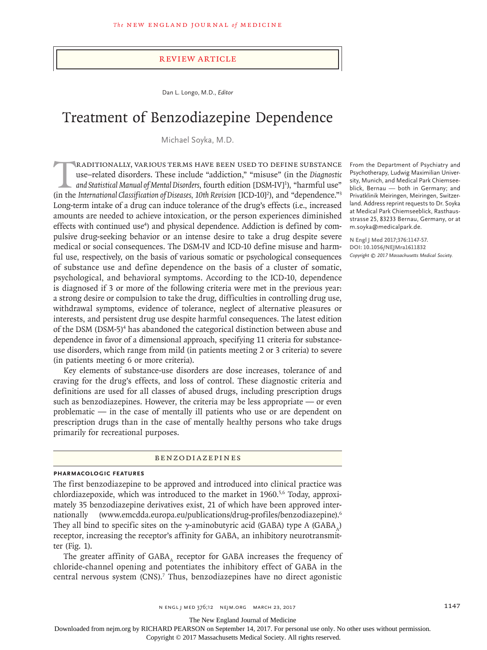#### Review Article

Dan L. Longo, M.D., *Editor*

# Treatment of Benzodiazepine Dependence

Michael Soyka, M.D.

RADITIONALLY, VARIOUS TERMS HAVE BEEN USED TO DEFINE SUBSTANCE<br>use–related disorders. These include "addiction," "misuse" (in the *Diagnostic*<br>and Statistical Manual of Mental Disorders, fourth edition [DSM-IV]<sup>1</sup>), "harmf use–related disorders. These include "addiction," "misuse" (in the *Diagnostic*  and Statistical Manual of Mental Disorders, fourth edition [DSM-IV]<sup>1</sup>), "harmful use" (in the International Classification of Diseases, 10th Revision [ICD-10]<sup>2</sup>), and "dependence."<sup>3</sup> Long-term intake of a drug can induce tolerance of the drug's effects (i.e., increased amounts are needed to achieve intoxication, or the person experiences diminished effects with continued use<sup>4</sup>) and physical dependence. Addiction is defined by compulsive drug-seeking behavior or an intense desire to take a drug despite severe medical or social consequences. The DSM-IV and ICD-10 define misuse and harmful use, respectively, on the basis of various somatic or psychological consequences of substance use and define dependence on the basis of a cluster of somatic, psychological, and behavioral symptoms. According to the ICD-10, dependence is diagnosed if 3 or more of the following criteria were met in the previous year: a strong desire or compulsion to take the drug, difficulties in controlling drug use, withdrawal symptoms, evidence of tolerance, neglect of alternative pleasures or interests, and persistent drug use despite harmful consequences. The latest edition of the DSM (DSM-5)<sup>4</sup> has abandoned the categorical distinction between abuse and dependence in favor of a dimensional approach, specifying 11 criteria for substanceuse disorders, which range from mild (in patients meeting 2 or 3 criteria) to severe (in patients meeting 6 or more criteria).

Key elements of substance-use disorders are dose increases, tolerance of and craving for the drug's effects, and loss of control. These diagnostic criteria and definitions are used for all classes of abused drugs, including prescription drugs such as benzodiazepines. However, the criteria may be less appropriate — or even problematic — in the case of mentally ill patients who use or are dependent on prescription drugs than in the case of mentally healthy persons who take drugs primarily for recreational purposes.

#### Benzodiazepines

## **Pharmacologic Features**

The first benzodiazepine to be approved and introduced into clinical practice was chlordiazepoxide, which was introduced to the market in 1960.<sup>5,6</sup> Today, approximately 35 benzodiazepine derivatives exist, 21 of which have been approved internationally (www.emcdda.europa.eu/publications/drug-profiles/benzodiazepine).<sup>6</sup> They all bind to specific sites on the  $\gamma$ -aminobutyric acid (GABA) type A (GABA) receptor, increasing the receptor's affinity for GABA, an inhibitory neurotransmitter (Fig. 1).

The greater affinity of GABA, receptor for GABA increases the frequency of chloride-channel opening and potentiates the inhibitory effect of GABA in the central nervous system (CNS).<sup>7</sup> Thus, benzodiazepines have no direct agonistic

From the Department of Psychiatry and Psychotherapy, Ludwig Maximilian University, Munich, and Medical Park Chiemseeblick, Bernau — both in Germany; and Privatklinik Meiringen, Meiringen, Switzerland. Address reprint requests to Dr. Soyka at Medical Park Chiemseeblick, Rasthausstrasse 25, 83233 Bernau, Germany, or at m.soyka@medicalpark.de.

**N Engl J Med 2017;376:1147-57. DOI: 10.1056/NEJMra1611832** *Copyright © 2017 Massachusetts Medical Society.*

The New England Journal of Medicine

Downloaded from nejm.org by RICHARD PEARSON on September 14, 2017. For personal use only. No other uses without permission.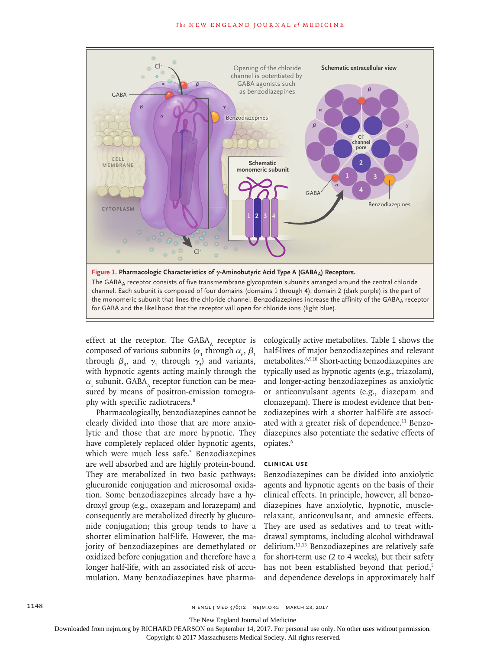

effect at the receptor. The GABA $_{\tiny{\rm A}}$  receptor is composed of various subunits ( $\alpha$ <sub>1</sub> through  $\alpha$ <sub>6</sub>,  $\beta$ <sub>1</sub> through  $\beta_3$ , and  $\gamma_1$  through  $\gamma_3$ ) and variants, with hypnotic agents acting mainly through the  $\alpha_{_1}$  subunit. GABA $_{\text{A}}$  receptor function can be measured by means of positron-emission tomography with specific radiotracers.<sup>8</sup>

Pharmacologically, benzodiazepines cannot be clearly divided into those that are more anxiolytic and those that are more hypnotic. They have completely replaced older hypnotic agents, which were much less safe.<sup>5</sup> Benzodiazepines are well absorbed and are highly protein-bound. They are metabolized in two basic pathways: glucuronide conjugation and microsomal oxidation. Some benzodiazepines already have a hydroxyl group (e.g., oxazepam and lorazepam) and consequently are metabolized directly by glucuronide conjugation; this group tends to have a shorter elimination half-life. However, the majority of benzodiazepines are demethylated or oxidized before conjugation and therefore have a longer half-life, with an associated risk of accumulation. Many benzodiazepines have pharmacologically active metabolites. Table 1 shows the half-lives of major benzodiazepines and relevant metabolites.6,9,10 Short-acting benzodiazepines are typically used as hypnotic agents (e.g., triazolam), and longer-acting benzodiazepines as anxiolytic or anticonvulsant agents (e.g., diazepam and clonazepam). There is modest evidence that benzodiazepines with a shorter half-life are associated with a greater risk of dependence.<sup>11</sup> Benzodiazepines also potentiate the sedative effects of opiates.<sup>6</sup>

#### **Clinical Use**

Benzodiazepines can be divided into anxiolytic agents and hypnotic agents on the basis of their clinical effects. In principle, however, all benzodiazepines have anxiolytic, hypnotic, musclerelaxant, anticonvulsant, and amnesic effects. They are used as sedatives and to treat withdrawal symptoms, including alcohol withdrawal delirium.12,13 Benzodiazepines are relatively safe for short-term use (2 to 4 weeks), but their safety has not been established beyond that period,<sup>5</sup> and dependence develops in approximately half

The New England Journal of Medicine

Downloaded from nejm.org by RICHARD PEARSON on September 14, 2017. For personal use only. No other uses without permission.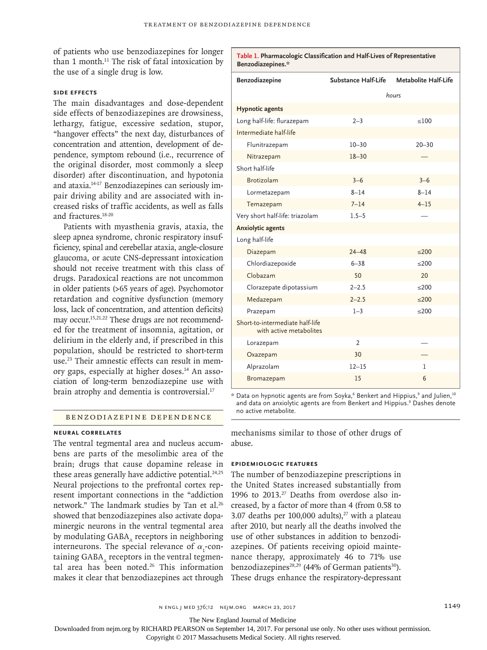of patients who use benzodiazepines for longer than 1 month.<sup>11</sup> The risk of fatal intoxication by the use of a single drug is low.

## **Side Effects**

The main disadvantages and dose-dependent side effects of benzodiazepines are drowsiness, lethargy, fatigue, excessive sedation, stupor, "hangover effects" the next day, disturbances of concentration and attention, development of dependence, symptom rebound (i.e., recurrence of the original disorder, most commonly a sleep disorder) after discontinuation, and hypotonia and ataxia.14-17 Benzodiazepines can seriously impair driving ability and are associated with increased risks of traffic accidents, as well as falls and fractures.18-20

Patients with myasthenia gravis, ataxia, the sleep apnea syndrome, chronic respiratory insufficiency, spinal and cerebellar ataxia, angle-closure glaucoma, or acute CNS-depressant intoxication should not receive treatment with this class of drugs. Paradoxical reactions are not uncommon in older patients (>65 years of age). Psychomotor retardation and cognitive dysfunction (memory loss, lack of concentration, and attention deficits) may occur.<sup>15,21,22</sup> These drugs are not recommended for the treatment of insomnia, agitation, or delirium in the elderly and, if prescribed in this population, should be restricted to short-term use.<sup>23</sup> Their amnestic effects can result in memory gaps, especially at higher doses.<sup>14</sup> An association of long-term benzodiazepine use with brain atrophy and dementia is controversial.<sup>17</sup>

# Benzodiazepine Dependence

## **Neural Correlates**

The ventral tegmental area and nucleus accumbens are parts of the mesolimbic area of the brain; drugs that cause dopamine release in these areas generally have addictive potential. $24,25$ Neural projections to the prefrontal cortex represent important connections in the "addiction network." The landmark studies by Tan et al.<sup>26</sup> showed that benzodiazepines also activate dopaminergic neurons in the ventral tegmental area by modulating GABA, receptors in neighboring interneurons. The special relevance of  $\alpha_{1}$ -containing GABA, receptors in the ventral tegmental area has been noted.<sup>26</sup> This information makes it clear that benzodiazepines act through These drugs enhance the respiratory-depressant

| Benzodiazepines.*                                          |                     |                      |
|------------------------------------------------------------|---------------------|----------------------|
| Benzodiazepine                                             | Substance Half-Life | Metabolite Half-Life |
|                                                            | hours               |                      |
| <b>Hypnotic agents</b>                                     |                     |                      |
| Long half-life: flurazepam                                 | $2 - 3$             | < 100                |
| Intermediate half-life                                     |                     |                      |
| Flunitrazepam                                              | $10 - 30$           | $20 - 30$            |
| Nitrazepam                                                 | $18 - 30$           |                      |
| Short half-life                                            |                     |                      |
| <b>Brotizolam</b>                                          | $3 - 6$             | $3 - 6$              |
| Lormetazepam                                               | $8 - 14$            | $8 - 14$             |
| Temazepam                                                  | $7 - 14$            | $4 - 15$             |
| Very short half-life: triazolam                            | $1.5 - 5$           |                      |
| <b>Anxiolytic agents</b>                                   |                     |                      |
| Long half-life                                             |                     |                      |
| Diazepam                                                   | $24 - 48$           | < 200                |
| Chlordiazepoxide                                           | $6 - 38$            | < 200                |
| Clobazam                                                   | 50                  | 20                   |
| Clorazepate dipotassium                                    | $2 - 2.5$           | < 200                |
| Medazepam                                                  | $2 - 2.5$           | < 200                |
| Prazepam                                                   | $1 - 3$             | $≤200$               |
| Short-to-intermediate half-life<br>with active metabolites |                     |                      |
| Lorazepam                                                  | $\overline{2}$      |                      |
| Oxazepam                                                   | 30                  |                      |
| Alprazolam                                                 | $12 - 15$           | 1                    |
| Bromazepam                                                 | 15                  | 6                    |

**Table 1. Pharmacologic Classification and Half-Lives of Representative** 

 $^\star$  Data on hypnotic agents are from Soyka, $^6$  Benkert and Hippius, $^9$  and Julien, $^{10}$ and data on anxiolytic agents are from Benkert and Hippius.<sup>9</sup> Dashes denote no active metabolite.

mechanisms similar to those of other drugs of abuse.

# **Epidemiologic Features**

The number of benzodiazepine prescriptions in the United States increased substantially from 1996 to 2013.27 Deaths from overdose also increased, by a factor of more than 4 (from 0.58 to 3.07 deaths per  $100,000$  adults),<sup>27</sup> with a plateau after 2010, but nearly all the deaths involved the use of other substances in addition to benzodiazepines. Of patients receiving opioid maintenance therapy, approximately 46 to 71% use benzodiazepines<sup>28,29</sup> (44% of German patients<sup>30</sup>).

The New England Journal of Medicine

Downloaded from nejm.org by RICHARD PEARSON on September 14, 2017. For personal use only. No other uses without permission.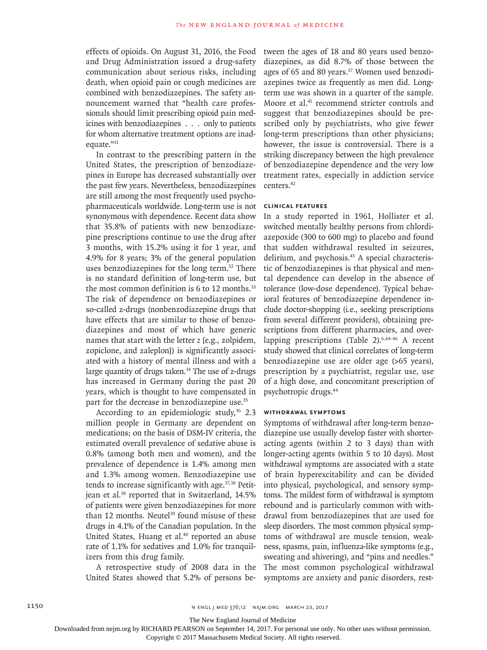effects of opioids. On August 31, 2016, the Food and Drug Administration issued a drug-safety communication about serious risks, including death, when opioid pain or cough medicines are combined with benzodiazepines. The safety announcement warned that "health care professionals should limit prescribing opioid pain medicines with benzodiazepines . . . only to patients for whom alternative treatment options are inadequate."31

In contrast to the prescribing pattern in the United States, the prescription of benzodiazepines in Europe has decreased substantially over the past few years. Nevertheless, benzodiazepines are still among the most frequently used psychopharmaceuticals worldwide. Long-term use is not synonymous with dependence. Recent data show that 35.8% of patients with new benzodiazepine prescriptions continue to use the drug after 3 months, with 15.2% using it for 1 year, and 4.9% for 8 years; 3% of the general population uses benzodiazepines for the long term.<sup>32</sup> There is no standard definition of long-term use, but the most common definition is 6 to 12 months.<sup>33</sup> The risk of dependence on benzodiazepines or so-called z-drugs (nonbenzodiazepine drugs that have effects that are similar to those of benzodiazepines and most of which have generic names that start with the letter *z* [e.g., zolpidem, zopiclone, and zaleplon]) is significantly associated with a history of mental illness and with a large quantity of drugs taken.<sup>34</sup> The use of z-drugs has increased in Germany during the past 20 years, which is thought to have compensated in part for the decrease in benzodiazepine use.35

According to an epidemiologic study,  $36$  2.3 million people in Germany are dependent on medications; on the basis of DSM-IV criteria, the estimated overall prevalence of sedative abuse is 0.8% (among both men and women), and the prevalence of dependence is 1.4% among men and 1.3% among women. Benzodiazepine use tends to increase significantly with age.<sup>37,38</sup> Petitjean et al.<sup>38</sup> reported that in Switzerland, 14.5% of patients were given benzodiazepines for more than 12 months. Neutel<sup>39</sup> found misuse of these drugs in 4.1% of the Canadian population. In the United States, Huang et al.<sup>40</sup> reported an abuse rate of 1.1% for sedatives and 1.0% for tranquilizers from this drug family.

A retrospective study of 2008 data in the United States showed that 5.2% of persons between the ages of 18 and 80 years used benzodiazepines, as did 8.7% of those between the ages of 65 and 80 years.<sup>37</sup> Women used benzodiazepines twice as frequently as men did. Longterm use was shown in a quarter of the sample. Moore et al.<sup>41</sup> recommend stricter controls and suggest that benzodiazepines should be prescribed only by psychiatrists, who give fewer long-term prescriptions than other physicians; however, the issue is controversial. There is a striking discrepancy between the high prevalence of benzodiazepine dependence and the very low treatment rates, especially in addiction service centers.42

#### **Clinical Features**

In a study reported in 1961, Hollister et al. switched mentally healthy persons from chlordiazepoxide (300 to 600 mg) to placebo and found that sudden withdrawal resulted in seizures, delirium, and psychosis.<sup>43</sup> A special characteristic of benzodiazepines is that physical and mental dependence can develop in the absence of tolerance (low-dose dependence). Typical behavioral features of benzodiazepine dependence include doctor-shopping (i.e., seeking prescriptions from several different providers), obtaining prescriptions from different pharmacies, and overlapping prescriptions (Table 2).<sup>6,44-46</sup> A recent study showed that clinical correlates of long-term benzodiazepine use are older age (>65 years), prescription by a psychiatrist, regular use, use of a high dose, and concomitant prescription of psychotropic drugs.44

#### **Withdrawal Symptoms**

Symptoms of withdrawal after long-term benzodiazepine use usually develop faster with shorteracting agents (within 2 to 3 days) than with longer-acting agents (within 5 to 10 days). Most withdrawal symptoms are associated with a state of brain hyperexcitability and can be divided into physical, psychological, and sensory symptoms. The mildest form of withdrawal is symptom rebound and is particularly common with withdrawal from benzodiazepines that are used for sleep disorders. The most common physical symptoms of withdrawal are muscle tension, weakness, spasms, pain, influenza-like symptoms (e.g., sweating and shivering), and "pins and needles." The most common psychological withdrawal symptoms are anxiety and panic disorders, rest-

The New England Journal of Medicine

Downloaded from nejm.org by RICHARD PEARSON on September 14, 2017. For personal use only. No other uses without permission.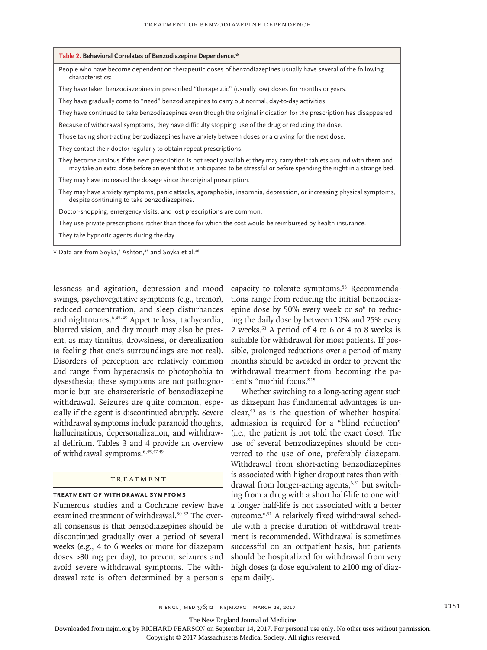| Table 2. Behavioral Correlates of Benzodiazepine Dependence.*                                                                                                                                                                                         |
|-------------------------------------------------------------------------------------------------------------------------------------------------------------------------------------------------------------------------------------------------------|
| People who have become dependent on therapeutic doses of benzodiazepines usually have several of the following<br>characteristics:                                                                                                                    |
| They have taken benzodiazepines in prescribed "therapeutic" (usually low) doses for months or years.                                                                                                                                                  |
| They have gradually come to "need" benzodiazepines to carry out normal, day-to-day activities.                                                                                                                                                        |
| They have continued to take benzodiazepines even though the original indication for the prescription has disappeared.                                                                                                                                 |
| Because of withdrawal symptoms, they have difficulty stopping use of the drug or reducing the dose.                                                                                                                                                   |
| Those taking short-acting benzodiazepines have anxiety between doses or a craving for the next dose.                                                                                                                                                  |
| They contact their doctor regularly to obtain repeat prescriptions.                                                                                                                                                                                   |
| They become anxious if the next prescription is not readily available; they may carry their tablets around with them and<br>may take an extra dose before an event that is anticipated to be stressful or before spending the night in a strange bed. |
| They may have increased the dosage since the original prescription.                                                                                                                                                                                   |
| They may have anxiety symptoms, panic attacks, agoraphobia, insomnia, depression, or increasing physical symptoms,<br>despite continuing to take benzodiazepines.                                                                                     |
| Doctor-shopping, emergency visits, and lost prescriptions are common.                                                                                                                                                                                 |
| They use private prescriptions rather than those for which the cost would be reimbursed by health insurance.                                                                                                                                          |
| They take hypnotic agents during the day.                                                                                                                                                                                                             |
| * Data are from Soyka, <sup>6</sup> Ashton, <sup>45</sup> and Soyka et al. <sup>46</sup>                                                                                                                                                              |

lessness and agitation, depression and mood swings, psychovegetative symptoms (e.g., tremor), reduced concentration, and sleep disturbances and nightmares.6,45-49 Appetite loss, tachycardia, blurred vision, and dry mouth may also be present, as may tinnitus, drowsiness, or derealization (a feeling that one's surroundings are not real). Disorders of perception are relatively common and range from hyperacusis to photophobia to dysesthesia; these symptoms are not pathognomonic but are characteristic of benzodiazepine withdrawal. Seizures are quite common, especially if the agent is discontinued abruptly. Severe withdrawal symptoms include paranoid thoughts, hallucinations, depersonalization, and withdrawal delirium. Tables 3 and 4 provide an overview of withdrawal symptoms.6,45,47,49

## **TREATMENT**

#### **Treatment of Withdrawal Symptoms**

Numerous studies and a Cochrane review have examined treatment of withdrawal.<sup>50-52</sup> The overall consensus is that benzodiazepines should be discontinued gradually over a period of several weeks (e.g., 4 to 6 weeks or more for diazepam doses >30 mg per day), to prevent seizures and avoid severe withdrawal symptoms. The withdrawal rate is often determined by a person's capacity to tolerate symptoms.<sup>53</sup> Recommendations range from reducing the initial benzodiazepine dose by 50% every week or so<sup>6</sup> to reducing the daily dose by between 10% and 25% every 2 weeks.53 A period of 4 to 6 or 4 to 8 weeks is suitable for withdrawal for most patients. If possible, prolonged reductions over a period of many months should be avoided in order to prevent the withdrawal treatment from becoming the patient's "morbid focus."15

Whether switching to a long-acting agent such as diazepam has fundamental advantages is unclear, $45$  as is the question of whether hospital admission is required for a "blind reduction" (i.e., the patient is not told the exact dose). The use of several benzodiazepines should be converted to the use of one, preferably diazepam. Withdrawal from short-acting benzodiazepines is associated with higher dropout rates than withdrawal from longer-acting agents,<sup>6,51</sup> but switching from a drug with a short half-life to one with a longer half-life is not associated with a better outcome.6,51 A relatively fixed withdrawal schedule with a precise duration of withdrawal treatment is recommended. Withdrawal is sometimes successful on an outpatient basis, but patients should be hospitalized for withdrawal from very high doses (a dose equivalent to ≥100 mg of diazepam daily).

The New England Journal of Medicine

Downloaded from nejm.org by RICHARD PEARSON on September 14, 2017. For personal use only. No other uses without permission.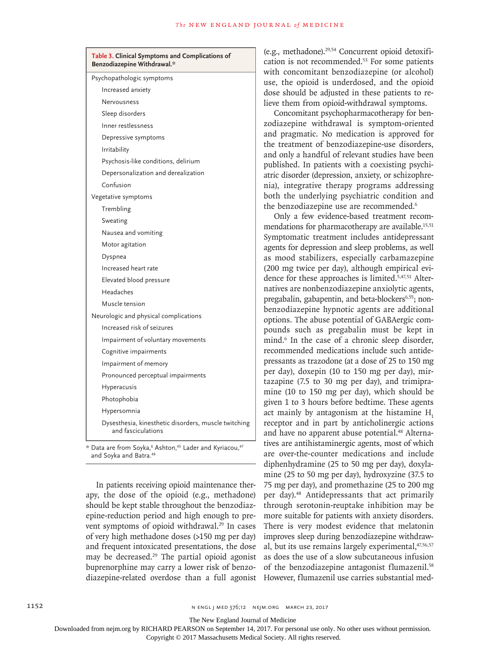| Table 3. Clinical Symptoms and Complications of<br>Benzodiazepine Withdrawal.* |  |  |
|--------------------------------------------------------------------------------|--|--|
| Psychopathologic symptoms                                                      |  |  |
| Increased anxiety                                                              |  |  |
| Nervousness                                                                    |  |  |
| Sleep disorders                                                                |  |  |
| Inner restlessness                                                             |  |  |
| Depressive symptoms                                                            |  |  |
| Irritability                                                                   |  |  |
| Psychosis-like conditions, delirium                                            |  |  |
| Depersonalization and derealization                                            |  |  |
| Confusion                                                                      |  |  |
| Vegetative symptoms                                                            |  |  |
| Trembling                                                                      |  |  |
| Sweating                                                                       |  |  |
| Nausea and vomiting                                                            |  |  |
| Motor agitation                                                                |  |  |
| Dyspnea                                                                        |  |  |
| Increased heart rate                                                           |  |  |
| Elevated blood pressure                                                        |  |  |
| Headaches                                                                      |  |  |
| Muscle tension                                                                 |  |  |
| Neurologic and physical complications                                          |  |  |
| Increased risk of seizures                                                     |  |  |
| Impairment of voluntary movements                                              |  |  |
| Cognitive impairments                                                          |  |  |
| Impairment of memory                                                           |  |  |
| Pronounced perceptual impairments                                              |  |  |
| Hyperacusis                                                                    |  |  |
| Photophobia                                                                    |  |  |
| Hypersomnia                                                                    |  |  |
| Dysesthesia, kinesthetic disorders, muscle twitching<br>and fasciculations     |  |  |

\* Data are from Soyka,6 Ashton,45 Lader and Kyriacou,47 and Soyka and Batra.<sup>49</sup>

In patients receiving opioid maintenance therapy, the dose of the opioid (e.g., methadone) should be kept stable throughout the benzodiazepine-reduction period and high enough to prevent symptoms of opioid withdrawal.<sup>29</sup> In cases of very high methadone doses (>150 mg per day) and frequent intoxicated presentations, the dose may be decreased.29 The partial opioid agonist buprenorphine may carry a lower risk of benzodiazepine-related overdose than a full agonist (e.g., methadone).29,54 Concurrent opioid detoxification is not recommended.53 For some patients with concomitant benzodiazepine (or alcohol) use, the opioid is underdosed, and the opioid dose should be adjusted in these patients to relieve them from opioid-withdrawal symptoms.

Concomitant psychopharmacotherapy for benzodiazepine withdrawal is symptom-oriented and pragmatic. No medication is approved for the treatment of benzodiazepine-use disorders, and only a handful of relevant studies have been published. In patients with a coexisting psychiatric disorder (depression, anxiety, or schizophrenia), integrative therapy programs addressing both the underlying psychiatric condition and the benzodiazepine use are recommended.<sup>6</sup>

Only a few evidence-based treatment recommendations for pharmacotherapy are available.<sup>15,51</sup> Symptomatic treatment includes antidepressant agents for depression and sleep problems, as well as mood stabilizers, especially carbamazepine (200 mg twice per day), although empirical evidence for these approaches is limited.5,47,51 Alternatives are nonbenzodiazepine anxiolytic agents, pregabalin, gabapentin, and beta-blockers<sup>6,55</sup>; nonbenzodiazepine hypnotic agents are additional options. The abuse potential of GABAergic compounds such as pregabalin must be kept in mind.<sup>6</sup> In the case of a chronic sleep disorder, recommended medications include such antidepressants as trazodone (at a dose of 25 to 150 mg per day), doxepin (10 to 150 mg per day), mirtazapine (7.5 to 30 mg per day), and trimipramine (10 to 150 mg per day), which should be given 1 to 3 hours before bedtime. These agents act mainly by antagonism at the histamine H<sub>1</sub> receptor and in part by anticholinergic actions and have no apparent abuse potential.<sup>48</sup> Alternatives are antihistaminergic agents, most of which are over-the-counter medications and include diphenhydramine (25 to 50 mg per day), doxylamine (25 to 50 mg per day), hydroxyzine (37.5 to 75 mg per day), and promethazine (25 to 200 mg per day).48 Antidepressants that act primarily through serotonin-reuptake inhibition may be more suitable for patients with anxiety disorders. There is very modest evidence that melatonin improves sleep during benzodiazepine withdrawal, but its use remains largely experimental, 47,56,57 as does the use of a slow subcutaneous infusion of the benzodiazepine antagonist flumazenil.<sup>58</sup> However, flumazenil use carries substantial med-

The New England Journal of Medicine

Downloaded from nejm.org by RICHARD PEARSON on September 14, 2017. For personal use only. No other uses without permission.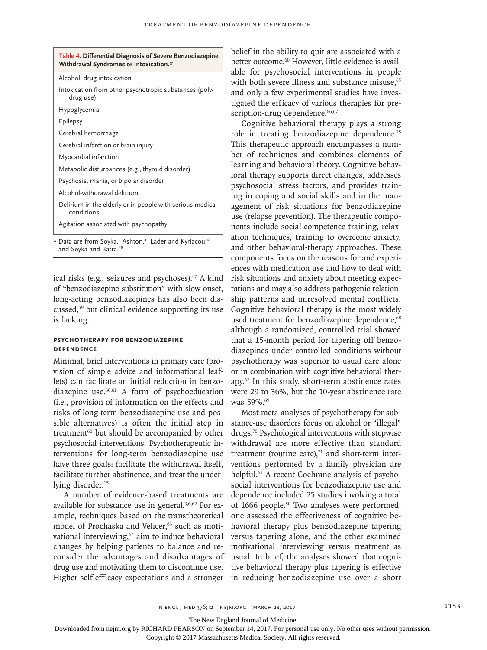| Table 4. Differential Diagnosis of Severe Benzodiazepine<br>Withdrawal Syndromes or Intoxication.* |  |  |  |
|----------------------------------------------------------------------------------------------------|--|--|--|
| Alcohol, drug intoxication                                                                         |  |  |  |
| Intoxication from other psychotropic substances (poly-<br>drug use)                                |  |  |  |
| Hypoglycemia                                                                                       |  |  |  |
| Epilepsy                                                                                           |  |  |  |
| Cerebral hemorrhage                                                                                |  |  |  |
| Cerebral infarction or brain injury                                                                |  |  |  |
| Myocardial infarction                                                                              |  |  |  |
| Metabolic disturbances (e.g., thyroid disorder)                                                    |  |  |  |
| Psychosis, mania, or bipolar disorder                                                              |  |  |  |
| Alcohol-withdrawal delirium                                                                        |  |  |  |
| Delirium in the elderly or in people with serious medical<br>conditions                            |  |  |  |
| Agitation associated with psychopathy                                                              |  |  |  |

\* Data are from Soyka,6 Ashton,45 Lader and Kyriacou,47 and Soyka and Batra.<sup>49</sup>

ical risks (e.g., seizures and psychoses).<sup>47</sup> A kind of "benzodiazepine substitution" with slow-onset, long-acting benzodiazepines has also been discussed,59 but clinical evidence supporting its use is lacking.

## **Psychotherapy for Benzodiazepine Dependence**

Minimal, brief interventions in primary care (provision of simple advice and informational leaflets) can facilitate an initial reduction in benzodiazepine use. $60,61$  A form of psychoeducation (i.e., provision of information on the effects and risks of long-term benzodiazepine use and possible alternatives) is often the initial step in treatment<sup>60</sup> but should be accompanied by other psychosocial interventions. Psychotherapeutic interventions for long-term benzodiazepine use have three goals: facilitate the withdrawal itself, facilitate further abstinence, and treat the underlying disorder.<sup>15</sup>

A number of evidence-based treatments are available for substance use in general.3,6,62 For example, techniques based on the transtheoretical model of Prochaska and Velicer,<sup>63</sup> such as motivational interviewing,<sup>64</sup> aim to induce behavioral changes by helping patients to balance and reconsider the advantages and disadvantages of drug use and motivating them to discontinue use. Higher self-efficacy expectations and a stronger in reducing benzodiazepine use over a short

belief in the ability to quit are associated with a better outcome.<sup>60</sup> However, little evidence is available for psychosocial interventions in people with both severe illness and substance misuse.<sup>65</sup> and only a few experimental studies have investigated the efficacy of various therapies for prescription-drug dependence.<sup>66,67</sup>

Cognitive behavioral therapy plays a strong role in treating benzodiazepine dependence.15 This therapeutic approach encompasses a number of techniques and combines elements of learning and behavioral theory. Cognitive behavioral therapy supports direct changes, addresses psychosocial stress factors, and provides training in coping and social skills and in the management of risk situations for benzodiazepine use (relapse prevention). The therapeutic components include social-competence training, relaxation techniques, training to overcome anxiety, and other behavioral-therapy approaches. These components focus on the reasons for and experiences with medication use and how to deal with risk situations and anxiety about meeting expectations and may also address pathogenic relationship patterns and unresolved mental conflicts. Cognitive behavioral therapy is the most widely used treatment for benzodiazepine dependence, 68 although a randomized, controlled trial showed that a 15-month period for tapering off benzodiazepines under controlled conditions without psychotherapy was superior to usual care alone or in combination with cognitive behavioral therapy.67 In this study, short-term abstinence rates were 29 to 36%, but the 10-year abstinence rate was 59%.<sup>69</sup>

Most meta-analyses of psychotherapy for substance-use disorders focus on alcohol or "illegal" drugs.70 Psychological interventions with stepwise withdrawal are more effective than standard treatment (routine care), $71$  and short-term interventions performed by a family physician are helpful.<sup>61</sup> A recent Cochrane analysis of psychosocial interventions for benzodiazepine use and dependence included 25 studies involving a total of 1666 people.<sup>50</sup> Two analyses were performed: one assessed the effectiveness of cognitive behavioral therapy plus benzodiazepine tapering versus tapering alone, and the other examined motivational interviewing versus treatment as usual. In brief, the analyses showed that cognitive behavioral therapy plus tapering is effective

The New England Journal of Medicine

Downloaded from nejm.org by RICHARD PEARSON on September 14, 2017. For personal use only. No other uses without permission.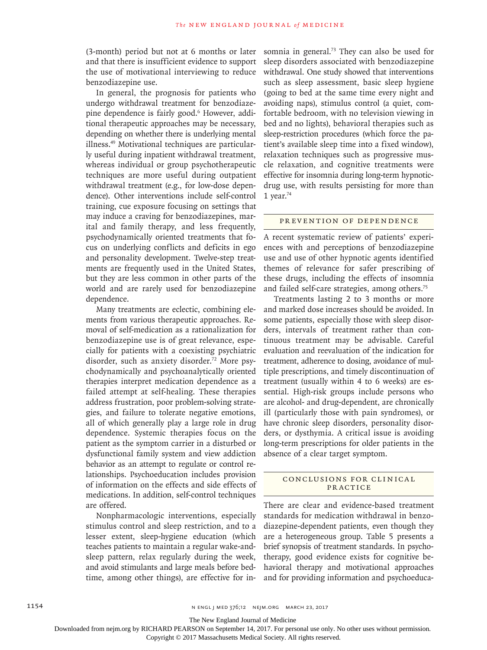(3-month) period but not at 6 months or later and that there is insufficient evidence to support the use of motivational interviewing to reduce benzodiazepine use.

In general, the prognosis for patients who undergo withdrawal treatment for benzodiazepine dependence is fairly good.<sup>6</sup> However, additional therapeutic approaches may be necessary, depending on whether there is underlying mental illness.49 Motivational techniques are particularly useful during inpatient withdrawal treatment, whereas individual or group psychotherapeutic techniques are more useful during outpatient withdrawal treatment (e.g., for low-dose dependence). Other interventions include self-control training, cue exposure focusing on settings that may induce a craving for benzodiazepines, marital and family therapy, and less frequently, psychodynamically oriented treatments that focus on underlying conflicts and deficits in ego and personality development. Twelve-step treatments are frequently used in the United States, but they are less common in other parts of the world and are rarely used for benzodiazepine dependence.

Many treatments are eclectic, combining elements from various therapeutic approaches. Removal of self-medication as a rationalization for benzodiazepine use is of great relevance, especially for patients with a coexisting psychiatric disorder, such as anxiety disorder.<sup>72</sup> More psychodynamically and psychoanalytically oriented therapies interpret medication dependence as a failed attempt at self-healing. These therapies address frustration, poor problem-solving strategies, and failure to tolerate negative emotions, all of which generally play a large role in drug dependence. Systemic therapies focus on the patient as the symptom carrier in a disturbed or dysfunctional family system and view addiction behavior as an attempt to regulate or control relationships. Psychoeducation includes provision of information on the effects and side effects of medications. In addition, self-control techniques are offered.

Nonpharmacologic interventions, especially stimulus control and sleep restriction, and to a lesser extent, sleep-hygiene education (which teaches patients to maintain a regular wake-andsleep pattern, relax regularly during the week, and avoid stimulants and large meals before bedtime, among other things), are effective for insomnia in general.<sup>73</sup> They can also be used for sleep disorders associated with benzodiazepine withdrawal. One study showed that interventions such as sleep assessment, basic sleep hygiene (going to bed at the same time every night and avoiding naps), stimulus control (a quiet, comfortable bedroom, with no television viewing in bed and no lights), behavioral therapies such as sleep-restriction procedures (which force the patient's available sleep time into a fixed window), relaxation techniques such as progressive muscle relaxation, and cognitive treatments were effective for insomnia during long-term hypnoticdrug use, with results persisting for more than 1 year. $74$ 

#### PREVENTION OF DEPENDENCE

A recent systematic review of patients' experiences with and perceptions of benzodiazepine use and use of other hypnotic agents identified themes of relevance for safer prescribing of these drugs, including the effects of insomnia and failed self-care strategies, among others.<sup>75</sup>

Treatments lasting 2 to 3 months or more and marked dose increases should be avoided. In some patients, especially those with sleep disorders, intervals of treatment rather than continuous treatment may be advisable. Careful evaluation and reevaluation of the indication for treatment, adherence to dosing, avoidance of multiple prescriptions, and timely discontinuation of treatment (usually within 4 to 6 weeks) are essential. High-risk groups include persons who are alcohol- and drug-dependent, are chronically ill (particularly those with pain syndromes), or have chronic sleep disorders, personality disorders, or dysthymia. A critical issue is avoiding long-term prescriptions for older patients in the absence of a clear target symptom.

# CONCLUSIONS FOR CLINICAL PRACTICE

There are clear and evidence-based treatment standards for medication withdrawal in benzodiazepine-dependent patients, even though they are a heterogeneous group. Table 5 presents a brief synopsis of treatment standards. In psychotherapy, good evidence exists for cognitive behavioral therapy and motivational approaches and for providing information and psychoeduca-

The New England Journal of Medicine

Downloaded from nejm.org by RICHARD PEARSON on September 14, 2017. For personal use only. No other uses without permission.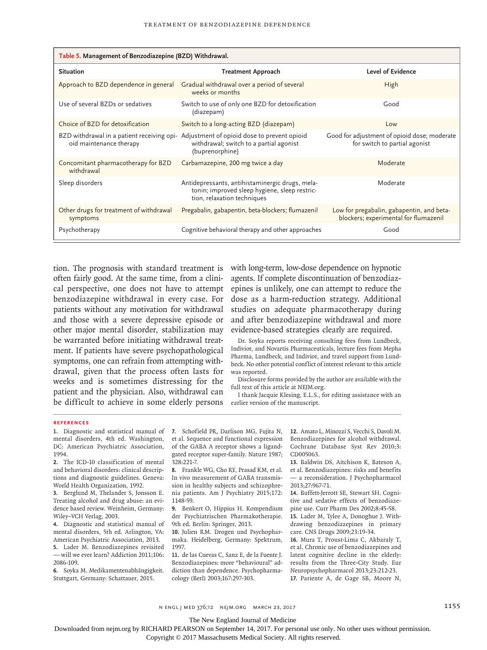| Table 5. Management of Benzodiazepine (BZD) Withdrawal. |                                                                                                                                                      |                                                                                    |  |  |
|---------------------------------------------------------|------------------------------------------------------------------------------------------------------------------------------------------------------|------------------------------------------------------------------------------------|--|--|
| <b>Situation</b>                                        | <b>Treatment Approach</b>                                                                                                                            | Level of Evidence                                                                  |  |  |
| Approach to BZD dependence in general                   | Gradual withdrawal over a period of several<br>weeks or months                                                                                       | High                                                                               |  |  |
| Use of several BZDs or sedatives                        | Switch to use of only one BZD for detoxification<br>(diazepam)                                                                                       | Good                                                                               |  |  |
| Choice of BZD for detoxification                        | Switch to a long-acting BZD (diazepam)                                                                                                               | Low                                                                                |  |  |
| oid maintenance therapy                                 | BZD withdrawal in a patient receiving opi- Adjustment of opioid dose to prevent opioid<br>withdrawal; switch to a partial agonist<br>(buprenorphine) | Good for adjustment of opioid dose; moderate<br>for switch to partial agonist      |  |  |
| Concomitant pharmacotherapy for BZD<br>withdrawal       | Carbamazepine, 200 mg twice a day                                                                                                                    | Moderate                                                                           |  |  |
| Sleep disorders                                         | Antidepressants, antihistaminergic drugs, mela-<br>tonin; improved sleep hygiene, sleep restric-<br>tion, relaxation techniques                      | Moderate                                                                           |  |  |
| Other drugs for treatment of withdrawal<br>symptoms     | Pregabalin, gabapentin, beta-blockers; flumazenil                                                                                                    | Low for pregabalin, gabapentin, and beta-<br>blockers; experimental for flumazenil |  |  |
| Psychotherapy                                           | Cognitive behavioral therapy and other approaches                                                                                                    | Good                                                                               |  |  |

tion. The prognosis with standard treatment is often fairly good. At the same time, from a clinical perspective, one does not have to attempt benzodiazepine withdrawal in every case. For patients without any motivation for withdrawal and those with a severe depressive episode or other major mental disorder, stabilization may be warranted before initiating withdrawal treatment. If patients have severe psychopathological symptoms, one can refrain from attempting withdrawal, given that the process often lasts for weeks and is sometimes distressing for the patient and the physician. Also, withdrawal can be difficult to achieve in some elderly persons

with long-term, low-dose dependence on hypnotic agents. If complete discontinuation of benzodiazepines is unlikely, one can attempt to reduce the dose as a harm-reduction strategy. Additional studies on adequate pharmacotherapy during and after benzodiazepine withdrawal and more evidence-based strategies clearly are required.

Dr. Soyka reports receiving consulting fees from Lundbeck, Indivior, and Novartis Pharmaceuticals, lecture fees from Mepha Pharma, Lundbeck, and Indivior, and travel support from Lundbeck. No other potential conflict of interest relevant to this article was reported.

Disclosure forms provided by the author are available with the full text of this article at NEJM.org.

I thank Jacquie Klesing, E.L.S., for editing assistance with an earlier version of the manuscript.

#### **References**

**1.** Diagnostic and statistical manual of mental disorders, 4th ed. Washington, DC: American Psychiatric Association, 1994.

**2.** The ICD-10 classification of mental and behavioral disorders: clinical descriptions and diagnostic guidelines. Geneva: World Health Organization, 1992.

**3.** Berglund M, Thelander S, Jonsson E. Treating alcohol and drug abuse: an evidence based review. Weinheim, Germany: Wiley–VCH Verlag, 2003.

**4.** Diagnostic and statistical manual of mental disorders, 5th ed. Arlington, VA: American Psychiatric Association, 2013.

**5.** Lader M. Benzodiazepines revisited — will we ever learn? Addiction 2011;106: 2086-109.

**6.** Soyka M. Medikamentenabhängigkeit. Stuttgart, Germany: Schattauer, 2015.

**7.** Schofield PR, Darlison MG, Fujita N, et al. Sequence and functional expression of the GABA A receptor shows a ligandgated receptor super-family. Nature 1987; 328:221-7.

**8.** Frankle WG, Cho RY, Prasad KM, et al. In vivo measurement of GABA transmission in healthy subjects and schizophrenia patients. Am J Psychiatry 2015;172: 1148-59.

**9.** Benkert O, Hippius H. Kompendium der Psychiatrischen Pharmakotherapie. 9th ed. Berlin: Springer, 2013.

**10.** Julien RM. Drogen und Psychopharmaka. Heidelberg, Germany: Spektrum, 1997.

**11.** de las Cuevas C, Sanz E, de la Fuente J. Benzodiazepines: more "behavioural" addiction than dependence. Psychopharmacology (Berl) 2003;167:297-303.

**12.** Amato L, Minozzi S, Vecchi S, Davoli M. Benzodiazepines for alcohol withdrawal. Cochrane Database Syst Rev 2010;3: CD005063.

**13.** Baldwin DS, Aitchison K, Bateson A, et al. Benzodiazepines: risks and benefits — a reconsideration. J Psychopharmacol 2013;27:967-71.

**14.** Buffett-Jerrott SE, Stewart SH. Cognitive and sedative effects of benzodiazepine use. Curr Pharm Des 2002;8:45-58.

**15.** Lader M, Tylee A, Donoghue J. Withdrawing benzodiazepines in primary care. CNS Drugs 2009;23:19-34.

**16.** Mura T, Proust-Lima C, Akbaraly T, et al. Chronic use of benzodiazepines and latent cognitive decline in the elderly: results from the Three-City Study. Eur Neuropsychopharmacol 2013;23:212-23. **17.** Pariente A, de Gage SB, Moore N,

n engl j med 376;12 nejm.org March 23, 2017 1155

The New England Journal of Medicine

Downloaded from nejm.org by RICHARD PEARSON on September 14, 2017. For personal use only. No other uses without permission.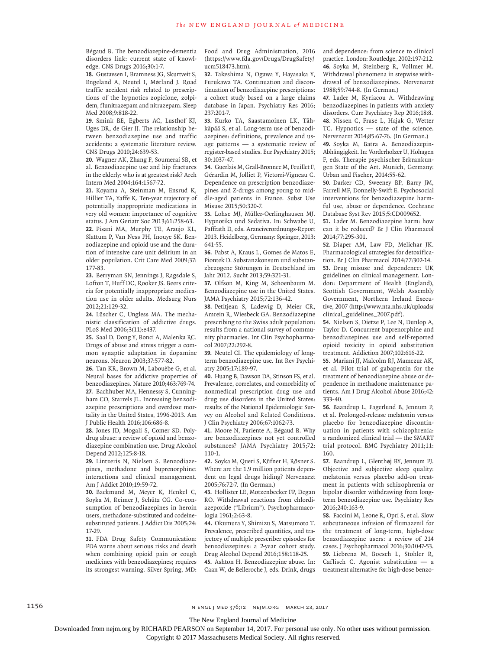Bégaud B. The benzodiazepine-dementia disorders link: current state of knowledge. CNS Drugs 2016;30:1-7.

**18.** Gustavsen I, Bramness JG, Skurtveit S, Engeland A, Neutel I, Mørland J. Road traffic accident risk related to prescriptions of the hypnotics zopiclone, zolpidem, flunitrazepam and nitrazepam. Sleep Med 2008;9:818-22.

**19.** Smink BE, Egberts AC, Lusthof KJ, Uges DR, de Gier JJ. The relationship between benzodiazepine use and traffic accidents: a systematic literature review. CNS Drugs 2010;24:639-53.

**20.** Wagner AK, Zhang F, Soumerai SB, et al. Benzodiazepine use and hip fractures in the elderly: who is at greatest risk? Arch Intern Med 2004;164:1567-72.

**21.** Koyama A, Steinman M, Ensrud K, Hillier TA, Yaffe K. Ten-year trajectory of potentially inappropriate medications in very old women: importance of cognitive status. J Am Geriatr Soc 2013;61:258-63. **22.** Pisani MA, Murphy TE, Araujo KL, Slattum P, Van Ness PH, Inouye SK. Benzodiazepine and opioid use and the duration of intensive care unit delirium in an older population. Crit Care Med 2009;37: 177-83.

**23.** Berryman SN, Jennings J, Ragsdale S, Lofton T, Huff DC, Rooker JS. Beers criteria for potentially inappropriate medication use in older adults. Medsurg Nurs 2012;21:129-32.

**24.** Lüscher C, Ungless MA. The mechanistic classification of addictive drugs. PLoS Med 2006;3(11):e437.

**25.** Saal D, Dong Y, Bonci A, Malenka RC. Drugs of abuse and stress trigger a common synaptic adaptation in dopamine neurons. Neuron 2003;37:577-82.

**26.** Tan KR, Brown M, Labouèbe G, et al. Neural bases for addictive properties of benzodiazepines. Nature 2010;463:769-74. **27.** Bachhuber MA, Hennessy S, Cunningham CO, Starrels JL. Increasing benzodiazepine prescriptions and overdose mortality in the United States, 1996-2013. Am J Public Health 2016;106:686-8.

**28.** Jones JD, Mogali S, Comer SD. Polydrug abuse: a review of opioid and benzodiazepine combination use. Drug Alcohol Depend 2012;125:8-18.

**29.** Lintzeris N, Nielsen S. Benzodiazepines, methadone and buprenorphine: interactions and clinical management. Am J Addict 2010;19:59-72.

**30.** Backmund M, Meyer K, Henkel C, Soyka M, Reimer J, Schütz CG. Co-consumption of benzodiazepines in heroin users, methadone-substituted and codeinesubstituted patients. J Addict Dis 2005;24: 17-29.

**31.** FDA Drug Safety Communication: FDA warns about serious risks and death when combining opioid pain or cough medicines with benzodiazepines; requires its strongest warning. Silver Spring, MD: Food and Drug Administration, 2016 (https://www.fda.gov/Drugs/DrugSafety/ ucm518473.htm).

**32.** Takeshima N, Ogawa Y, Hayasaka Y, Furukawa TA. Continuation and discontinuation of benzodiazepine prescriptions: a cohort study based on a large claims database in Japan. Psychiatry Res 2016; 237:201-7.

**33.** Kurko TA, Saastamoinen LK, Tähkäpää S, et al. Long-term use of benzodiazepines: definitions, prevalence and usage patterns — a systematic review of register-based studies. Eur Psychiatry 2015; 30:1037-47.

**34.** Guerlais M, Grall-Bronnec M, Feuillet F, Gérardin M, Jolliet P, Victorri-Vigneau C. Dependence on prescription benzodiazepines and Z-drugs among young to middle-aged patients in France. Subst Use Misuse 2015;50:320-7.

**35.** Lohse MJ, Müller-Oerlinghausen MJ. Hypnotika und Sedativa. In: Schwabe U, Paffrath D, eds. Arzneiverordnungs-Report 2013. Heidelberg, Germany: Springer, 2013: 641-55.

**36.** Pabst A, Kraus L, Gomes de Matos E, Piontek D. Substanzkonsum und substanzbezogene Störungen in Deutschland im Jahr 2012. Sucht 2013;59:321-31.

**37.** Olfson M, King M, Schoenbaum M. Benzodiazepine use in the United States. JAMA Psychiatry 2015;72:136-42.

**38.** Petitjean S, Ladewig D, Meier CR, Amrein R, Wiesbeck GA. Benzodiazepine prescribing to the Swiss adult population: results from a national survey of community pharmacies. Int Clin Psychopharmacol 2007;22:292-8.

**39.** Neutel CI. The epidemiology of longterm benzodiazepine use. Int Rev Psychiatry 2005;17:189-97.

**40.** Huang B, Dawson DA, Stinson FS, et al. Prevalence, correlates, and comorbidity of nonmedical prescription drug use and drug use disorders in the United States: results of the National Epidemiologic Survey on Alcohol and Related Conditions. J Clin Psychiatry 2006;67:1062-73.

**41.** Moore N, Pariente A, Bégaud B. Why are benzodiazepines not yet controlled substances? JAMA Psychiatry 2015;72: 110-1.

**42.** Soyka M, Queri S, Küfner H, Rösner S. Where are the 1.9 million patients dependent on legal drugs hiding? Nervenarzt 2005;76:72-7. (In German.)

**43.** Hollister LE, Motzenbecker FP, Degan RO. Withdrawal reactions from chlordiazepoxide ("Librium"). Psychopharmacologia 1961;2:63-8.

**44.** Okumura Y, Shimizu S, Matsumoto T. Prevalence, prescribed quantities, and trajectory of multiple prescriber episodes for benzodiazepines: a 2-year cohort study. Drug Alcohol Depend 2016;158:118-25. **45.** Ashton H. Benzodiazepine abuse. In: Caan W, de Belleroche J, eds. Drink, drugs

and dependence: from science to clinical practice. London: Routledge, 2002:197-212. **46.** Soyka M, Steinberg R, Vollmer M. Withdrawal phenomena in stepwise withdrawal of benzodiazepines. Nervenarzt 1988;59:744-8. (In German.)

**47.** Lader M, Kyriacou A. Withdrawing benzodiazepines in patients with anxiety disorders. Curr Psychiatry Rep 2016;18:8. **48.** Nissen C, Frase L, Hajak G, Wetter TC. Hypnotics — state of the science. Nervenarzt 2014;85:67-76. (In German.) **49.** Soyka M, Batra A. Benzodiazepin-

Abhängigkeit. In: Vorderholzer U, Hohagen F, eds. Therapie psychischer Erkrankungen State of the Art. Munich, Germany: Urban and Fischer, 2014:55-62.

**50.** Darker CD, Sweeney BP, Barry JM, Farrell MF, Donnelly-Swift E. Psychosocial interventions for benzodiazepine harmful use, abuse or dependence. Cochrane Database Syst Rev 2015;5:CD009652.

**51.** Lader M. Benzodiazepine harm: how can it be reduced? Br J Clin Pharmacol 2014;77:295-301.

**52.** Diaper AM, Law FD, Melichar JK. Pharmacological strategies for detoxification. Br J Clin Pharmacol 2014;77:302-14. **53.** Drug misuse and dependence: UK guidelines on clinical management. London: Department of Health (England), Scottish Government, Welsh Assembly Government, Northern Ireland Executive, 2007 (http://www.nta.nhs.uk/uploads/ clinical\_guidelines\_2007.pdf).

**54.** Nielsen S, Dietze P, Lee N, Dunlop A, Taylor D. Concurrent buprenorphine and benzodiazepines use and self-reported opioid toxicity in opioid substitution treatment. Addiction 2007;102:616-22.

**55.** Mariani JJ, Malcolm RJ, Mamczur AK, et al. Pilot trial of gabapentin for the treatment of benzodiazepine abuse or dependence in methadone maintenance patients. Am J Drug Alcohol Abuse 2016;42: 333-40.

**56.** Baandrup L, Fagerlund B, Jennum P, et al. Prolonged-release melatonin versus placebo for benzodiazepine discontinuation in patients with schizophrenia: a randomized clinical trial — the SMART trial protocol. BMC Psychiatry 2011;11: 160.

**57.** Baandrup L, Glenthøj BY, Jennum PJ. Objective and subjective sleep quality: melatonin versus placebo add-on treatment in patients with schizophrenia or bipolar disorder withdrawing from longterm benzodiazepine use. Psychiatry Res 2016;240:163-9.

**58.** Faccini M, Leone R, Opri S, et al. Slow subcutaneous infusion of flumazenil for the treatment of long-term, high-dose benzodiazepine users: a review of 214 cases. J Psychopharmacol 2016;30:1047-53. **59.** Liebrenz M, Boesch L, Stohler R, Caflisch C. Agonist substitution — a treatment alternative for high-dose benzo-

1156 **n engl j med 376;12** N ENGL J MED 376;12 N EJM.ORG MARCH 23, 2017

The New England Journal of Medicine

Downloaded from nejm.org by RICHARD PEARSON on September 14, 2017. For personal use only. No other uses without permission.